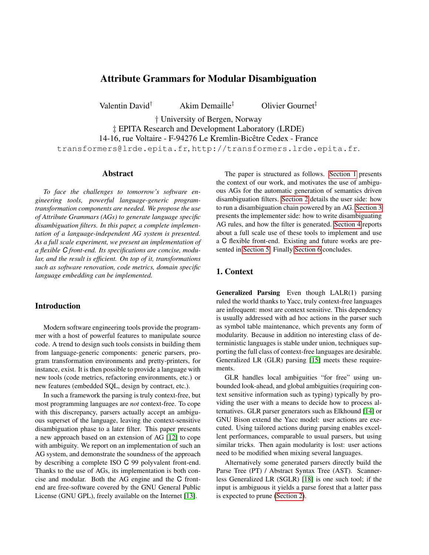# Attribute Grammars for Modular Disambiguation

Valentin David† Akim Demaille‡ Olivier Gournet‡

† University of Bergen, Norway

‡ EPITA Research and Development Laboratory (LRDE) 14-16, rue Voltaire - F-94276 Le Kremlin-Bicêtre Cedex - France transformers@lrde.epita.fr, http://transformers.lrde.epita.fr.

#### Abstract

*To face the challenges to tomorrow's software engineering tools, powerful language-generic programtransformation components are needed. We propose the use of Attribute Grammars (AGs) to generate language specific disambiguation filters. In this paper, a complete implementation of a language-independent AG system is presented. As a full scale experiment, we present an implementation of a flexible C front-end. Its specifications are concise, modular, and the result is efficient. On top of it, transformations such as software renovation, code metrics, domain specific language embedding can be implemented.*

# **Introduction**

Modern software engineering tools provide the programmer with a host of powerful features to manipulate source code. A trend to design such tools consists in building them from language-generic components: generic parsers, program transformation environments and pretty-printers, for instance, exist. It is then possible to provide a language with new tools (code metrics, refactoring environments, etc.) or new features (embedded SQL, design by contract, etc.).

In such a framework the parsing is truly context-free, but most programming languages are *not* context-free. To cope with this discrepancy, parsers actually accept an ambiguous superset of the language, leaving the context-sensitive disambiguation phase to a later filter. This paper presents a new approach based on an extension of AG [\[12\]](#page-6-0) to cope with ambiguity. We report on an implementation of such an AG system, and demonstrate the soundness of the approach by describing a complete ISO C 99 polyvalent front-end. Thanks to the use of AGs, its implementation is both concise and modular. Both the AG engine and the C frontend are free-software covered by the GNU General Public License (GNU GPL), freely available on the Internet [\[13\]](#page-6-1).

The paper is structured as follows. [Section 1](#page-0-0) presents the context of our work, and motivates the use of ambiguous AGs for the automatic generation of semantics driven disambiguation filters. [Section 2](#page-1-0) details the user side: how to run a disambiguation chain powered by an AG. [Section 3](#page-2-0) presents the implementer side: how to write disambiguating AG rules, and how the filter is generated. [Section 4](#page-3-0) reports about a full scale use of these tools to implement and use a C flexible front-end. Existing and future works are presented in [Section 5.](#page-4-0) Finally [Section 6](#page-5-0) concludes.

### <span id="page-0-0"></span>1. Context

Generalized Parsing Even though LALR(1) parsing ruled the world thanks to Yacc, truly context-free languages are infrequent: most are context sensitive. This dependency is usually addressed with ad hoc actions in the parser such as symbol table maintenance, which prevents any form of modularity. Because in addition no interesting class of deterministic languages is stable under union, techniques supporting the full class of context-free languages are desirable. Generalized LR (GLR) parsing [\[15\]](#page-6-2) meets these requirements.

GLR handles local ambiguities "for free" using unbounded look-ahead, and global ambiguities (requiring context sensitive information such as typing) typically by providing the user with a means to decide how to process alternatives. GLR parser generators such as Elkhound [\[14\]](#page-6-3) or GNU Bison extend the Yacc model: user actions are executed. Using tailored actions during parsing enables excellent performances, comparable to usual parsers, but using similar tricks. Then again modularity is lost: user actions need to be modified when mixing several languages.

Alternatively some generated parsers directly build the Parse Tree (PT) / Abstract Syntax Tree (AST). Scannerless Generalized LR (SGLR) [\[18\]](#page-6-4) is one such tool; if the input is ambiguous it yields a parse forest that a latter pass is expected to prune [\(Section 2\)](#page-1-0).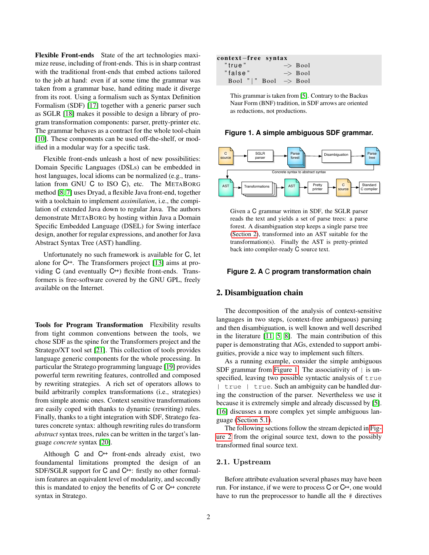<span id="page-1-3"></span>Flexible Front-ends State of the art technologies maximize reuse, including of front-ends. This is in sharp contrast with the traditional front-ends that embed actions tailored to the job at hand: even if at some time the grammar was taken from a grammar base, hand editing made it diverge from its root. Using a formalism such as Syntax Definition Formalism (SDF) [\[17\]](#page-6-5) together with a generic parser such as SGLR [\[18\]](#page-6-4) makes it possible to design a library of program transformation components: parser, pretty-printer etc. The grammar behaves as a contract for the whole tool-chain [\[10\]](#page-6-6). These components can be used off-the-shelf, or modified in a modular way for a specific task.

Flexible front-ends unleash a host of new possibilities: Domain Specific Languages (DSLs) can be embedded in host languages, local idioms can be normalized (e.g., translation from GNU C to ISO C), etc. The METABORG method [\[8,](#page-6-7) [7\]](#page-6-8) uses Dryad, a flexible Java front-end, together with a toolchain to implement *assimilation*, i.e., the compilation of extended Java down to regular Java. The authors demonstrate METABORG by hosting within Java a Domain Specific Embedded Language (DSEL) for Swing interface design, another for regular expressions, and another for Java Abstract Syntax Tree (AST) handling.

Unfortunately no such framework is available for C, let alone for C++. The Transformers project [\[13\]](#page-6-1) aims at providing  $C$  (and eventually  $C^{++}$ ) flexible front-ends. Transformers is free-software covered by the GNU GPL, freely available on the Internet.

Tools for Program Transformation Flexibility results from tight common conventions between the tools, we chose SDF as the spine for the Transformers project and the Stratego/XT tool set [\[21\]](#page-6-9). This collection of tools provides language generic components for the whole processing. In particular the Stratego programming language [\[19\]](#page-6-10) provides powerful term rewriting features, controlled and composed by rewriting strategies. A rich set of operators allows to build arbitrarily complex transformations (i.e., strategies) from simple atomic ones. Context sensitive transformations are easily coped with thanks to dynamic (rewriting) rules. Finally, thanks to a tight integration with SDF, Stratego features concrete syntax: although rewriting rules do transform *abstract* syntax trees, rules can be written in the target's language *concrete* syntax [\[20\]](#page-6-11).

Although  $C$  and  $C^{++}$  front-ends already exist, two foundamental limitations prompted the design of an SDF/SGLR support for C and C<sup>++</sup>: firstly no other formalism features an equivalent level of modularity, and secondly this is mandated to enjoy the benefits of  $C$  or  $C^{++}$  concrete syntax in Stratego.

### context-free syntax

| "true"                           |  | $\Rightarrow$ Bool |
|----------------------------------|--|--------------------|
| "false"                          |  | $\Rightarrow$ Bool |
| Bool " " Bool $\rightarrow$ Bool |  |                    |

This grammar is taken from [\[5\]](#page-6-12). Contrary to the Backus Naur Form (BNF) tradition, in SDF arrows are oriented as reductions, not productions.

#### <span id="page-1-1"></span>**Figure 1. A simple ambiguous SDF grammar.**



Given a C grammar written in SDF, the SGLR parser reads the text and yields a set of parse trees: a parse forest. A disambiguation step keeps a single parse tree [\(Section 2\)](#page-1-0), transformed into an AST suitable for the transformation(s). Finally the AST is pretty-printed back into compiler-ready C source text.

#### <span id="page-1-2"></span>**Figure 2. A** C **program transformation chain**

### <span id="page-1-0"></span>2. Disambiguation chain

The decomposition of the analysis of context-sensitive languages in two steps, (context-free ambiguous) parsing and then disambiguation, is well known and well described in the literature [\[11,](#page-6-13) [5,](#page-6-12) [8\]](#page-6-7). The main contribution of this paper is demonstrating that AGs, extended to support ambiguities, provide a nice way to implement such filters.

As a running example, consider the simple ambiguous SDF grammar from [Figure 1.](#page-1-1) The associativity of  $|$  is unspecified, leaving two possible syntactic analysis of true | true | true. Such an ambiguity can be handled during the construction of the parser. Nevertheless we use it because it is extremely simple and already discussed by [\[5\]](#page-6-12). [\[16\]](#page-6-14) discusses a more complex yet simple ambiguous language [\(Section 5.1\)](#page-4-1).

The following sections follow the stream depicted in [Fig](#page-1-2)[ure 2](#page-1-2) from the original source text, down to the possibly transformed final source text.

#### 2.1. Upstream

Before attribute evaluation several phases may have been run. For instance, if we were to process  $C$  or  $C^{++}$ , one would have to run the preprocessor to handle all the  $\#$  directives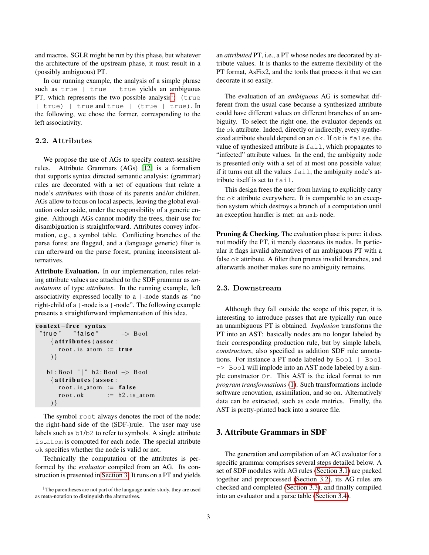and macros. SGLR might be run by this phase, but whatever the architecture of the upstream phase, it must result in a (possibly ambiguous) PT.

In our running example, the analysis of a simple phrase such as true | true | true yields an ambiguous PT, which represents the two possible analysis<sup>[1](#page-2-1)</sup>: (true | true) | true and true | (true | true). In the following, we chose the former, corresponding to the left associativity.

# 2.2. Attributes

We propose the use of AGs to specify context-sensitive rules. Attribute Grammars (AGs) [\[12\]](#page-6-0) is a formalism that supports syntax directed semantic analysis: (grammar) rules are decorated with a set of equations that relate a node's *attributes* with those of its parents and/or children. AGs allow to focus on local aspects, leaving the global evaluation order aside, under the responsibility of a generic engine. Although AGs cannot modify the trees, their use for disambiguation is straightforward. Attributes convey information, e.g., a symbol table. Conflicting branches of the parse forest are flagged, and a (language generic) filter is run afterward on the parse forest, pruning inconsistent alternatives.

Attribute Evaluation. In our implementation, rules relating attribute values are attached to the SDF grammar as *annotations* of type *attributes*. In the running example, left associativity expressed locally to a |-node stands as "no right-child of a |-node is a |-node". The following example presents a straightforward implementation of this idea.

```
context-free syntax
"true" | "false" \rightarrow Bool
    \{ attributes (assoc :
       root. is _{\text{atom}} := \text{true}) }
  b1 : Bool " | " b2 : Bool −> Bool
    \{ attributes (assoc :
       root. is_atom := falseroot \nvert ok := b2 \nvert is \nvert atom) }
```
The symbol root always denotes the root of the node: the right-hand side of the (SDF-)rule. The user may use labels such as b1/b2 to refer to symbols. A single attribute is atom is computed for each node. The special attribute ok specifies whether the node is valid or not.

Technically the computation of the attributes is performed by the *evaluator* compiled from an AG. Its construction is presented in [Section 3.](#page-2-0) It runs on a PT and yields an *attributed* PT, i.e., a PT whose nodes are decorated by attribute values. It is thanks to the extreme flexibility of the PT format, AsFix2, and the tools that process it that we can decorate it so easily.

The evaluation of an *ambiguous* AG is somewhat different from the usual case because a synthesized attribute could have different values on different branches of an ambiguity. To select the right one, the evaluator depends on the ok attribute. Indeed, directly or indirectly, every synthesized attribute should depend on an ok. If ok is false, the value of synthesized attribute is fail, which propagates to "infected" attribute values. In the end, the ambiguity node is presented only with a set of at most one possible value; if it turns out all the values fail, the ambiguity node's attribute itself is set to fail.

This design frees the user from having to explicitly carry the ok attribute everywhere. It is comparable to an exception system which destroys a branch of a computation until an exception handler is met: an amb node.

Pruning & Checking. The evaluation phase is pure: it does not modify the PT, it merely decorates its nodes. In particular it flags invalid alternatives of an ambiguous PT with a false  $\circ$ k attribute. A filter then prunes invalid branches, and afterwards another makes sure no ambiguity remains.

### 2.3. Downstream

Although they fall outside the scope of this paper, it is interesting to introduce passes that are typically run once an unambiguous PT is obtained. *Implosion* transforms the PT into an AST: basically nodes are no longer labeled by their corresponding production rule, but by simple labels, *constructors*, also specified as addition SDF rule annotations. For instance a PT node labeled by Bool | Bool -> Bool will implode into an AST node labeled by a simple constructor Or. This AST is the ideal format to run *program transformations* [\(1\)](#page-1-3). Such transformations include software renovation, assimilation, and so on. Alternatively data can be extracted, such as code metrics. Finally, the AST is pretty-printed back into a source file.

# <span id="page-2-0"></span>3. Attribute Grammars in SDF

The generation and compilation of an AG evaluator for a specific grammar comprises several steps detailed below. A set of SDF modules with AG rules [\(Section 3.1\)](#page-3-1) are packed together and preprocessed [\(Section 3.2\)](#page-3-2), its AG rules are checked and completed [\(Section 3.3\)](#page-3-3), and finally compiled into an evaluator and a parse table [\(Section 3.4\)](#page-3-4).

<span id="page-2-1"></span><sup>&</sup>lt;sup>1</sup>The parentheses are not part of the language under study, they are used as meta-notation to distinguish the alternatives.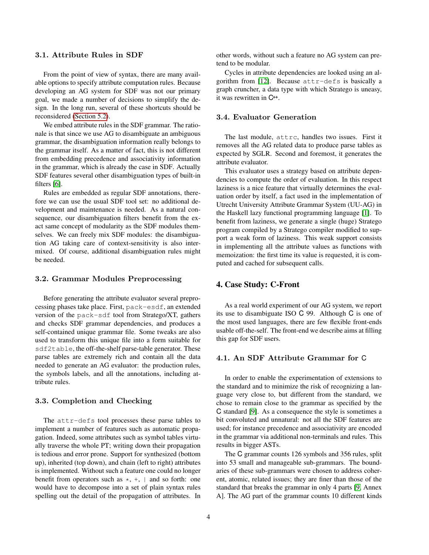### <span id="page-3-1"></span>3.1. Attribute Rules in SDF

From the point of view of syntax, there are many available options to specify attribute computation rules. Because developing an AG system for SDF was not our primary goal, we made a number of decisions to simplify the design. In the long run, several of these shortcuts should be reconsidered [\(Section 5.2\)](#page-4-2).

We embed attribute rules in the SDF grammar. The rationale is that since we use AG to disambiguate an ambiguous grammar, the disambiguation information really belongs to the grammar itself. As a matter of fact, this is not different from embedding precedence and associativity information in the grammar, which is already the case in SDF. Actually SDF features several other disambiguation types of built-in filters [\[6\]](#page-6-15).

Rules are embedded as regular SDF annotations, therefore we can use the usual SDF tool set: no additional development and maintenance is needed. As a natural consequence, our disambiguation filters benefit from the exact same concept of modularity as the SDF modules themselves. We can freely mix SDF modules: the disambiguation AG taking care of context-sensitivity is also intermixed. Of course, additional disambiguation rules might be needed.

### <span id="page-3-2"></span>3.2. Grammar Modules Preprocessing

Before generating the attribute evaluator several preprocessing phases take place. First, pack-esdf, an extended version of the pack-sdf tool from Stratego/XT, gathers and checks SDF grammar dependencies, and produces a self-contained unique grammar file. Some tweaks are also used to transform this unique file into a form suitable for sdf2table, the off-the-shelf parse-table generator. These parse tables are extremely rich and contain all the data needed to generate an AG evaluator: the production rules, the symbols labels, and all the annotations, including attribute rules.

### <span id="page-3-3"></span>3.3. Completion and Checking

The attr-defs tool processes these parse tables to implement a number of features such as automatic propagation. Indeed, some attributes such as symbol tables virtually traverse the whole PT; writing down their propagation is tedious and error prone. Support for synthesized (bottom up), inherited (top down), and chain (left to right) attributes is implemented. Without such a feature one could no longer benefit from operators such as  $\star$ ,  $+$ ,  $\downarrow$  and so forth: one would have to decompose into a set of plain syntax rules spelling out the detail of the propagation of attributes. In other words, without such a feature no AG system can pretend to be modular.

Cycles in attribute dependencies are looked using an algorithm from [\[12\]](#page-6-0). Because attr-defs is basically a graph cruncher, a data type with which Stratego is uneasy, it was rewritten in C++.

### <span id="page-3-4"></span>3.4. Evaluator Generation

The last module, attrc, handles two issues. First it removes all the AG related data to produce parse tables as expected by SGLR. Second and foremost, it generates the attribute evaluator.

This evaluator uses a strategy based on attribute dependencies to compute the order of evaluation. In this respect laziness is a nice feature that virtually determines the evaluation order by itself, a fact used in the implementation of Utrecht University Attribute Grammar System (UU-AG) in the Haskell lazy functional programming language [\[1\]](#page-6-16). To benefit from laziness, we generate a single (huge) Stratego program compiled by a Stratego compiler modified to support a weak form of laziness. This weak support consists in implementing all the attribute values as functions with memoization: the first time its value is requested, it is computed and cached for subsequent calls.

# <span id="page-3-0"></span>4. Case Study: C-Front

As a real world experiment of our AG system, we report its use to disambiguate ISO C 99. Although C is one of the most used languages, there are few flexible front-ends usable off-the-self. The front-end we describe aims at filling this gap for SDF users.

# 4.1. An SDF Attribute Grammar for C

In order to enable the experimentation of extensions to the standard and to minimize the risk of recognizing a language very close to, but different from the standard, we chose to remain close to the grammar as specified by the C standard [\[9\]](#page-6-17). As a consequence the style is sometimes a bit convoluted and unnatural: not all the SDF features are used; for instance precedence and associativity are encoded in the grammar via additional non-terminals and rules. This results in bigger ASTs.

The C grammar counts 126 symbols and 356 rules, split into 53 small and manageable sub-grammars. The boundaries of these sub-grammars were chosen to address coherent, atomic, related issues; they are finer than those of the standard that breaks the grammar in only 4 parts [\[9,](#page-6-17) Annex A]. The AG part of the grammar counts 10 different kinds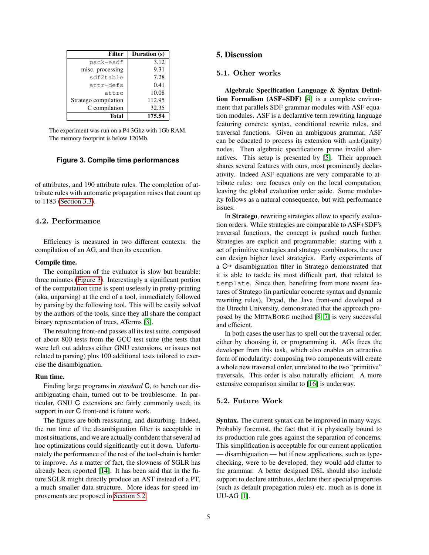| <b>Filter</b>        | Duration (s) |
|----------------------|--------------|
| pack-esdf            | 3.12         |
| misc. processing     | 9.31         |
| sdf2table            | 7.28         |
| attr-defs            | 0.41         |
| attrc                | 10.08        |
| Stratego compilation | 112.95       |
| C compilation        | 32.35        |
| Total                | 175.54       |

The experiment was run on a P4 3Ghz with 1Gb RAM. The memory footprint is below 120Mb.

#### <span id="page-4-3"></span>**Figure 3. Compile time performances**

of attributes, and 190 attribute rules. The completion of attribute rules with automatic propagation raises that count up to 1183 [\(Section 3.3\)](#page-3-3).

#### 4.2. Performance

Efficiency is measured in two different contexts: the compilation of an AG, and then its execution.

#### Compile time.

The compilation of the evaluator is slow but bearable: three minutes [\(Figure 3\)](#page-4-3). Interestingly a significant portion of the computation time is spent uselessly in pretty-printing (aka, unparsing) at the end of a tool, immediately followed by parsing by the following tool. This will be easily solved by the authors of the tools, since they all share the compact binary representation of trees, ATerms [\[3\]](#page-6-18).

The resulting front-end passes all its test suite, composed of about 800 tests from the GCC test suite (the tests that were left out address either GNU extensions, or issues not related to parsing) plus 100 additional tests tailored to exercise the disambiguation.

### Run time.

Finding large programs in *standard* C, to bench our disambiguating chain, turned out to be troublesome. In particular, GNU C extensions are fairly commonly used; its support in our C front-end is future work.

The figures are both reassuring, and disturbing. Indeed, the run time of the disambiguation filter is acceptable in most situations, and we are actually confident that several ad hoc optimizations could significantly cut it down. Unfortunately the performance of the rest of the tool-chain is harder to improve. As a matter of fact, the slowness of SGLR has already been reported [\[14\]](#page-6-3). It has been said that in the future SGLR might directly produce an AST instead of a PT, a much smaller data structure. More ideas for speed improvements are proposed in [Section 5.2.](#page-4-2)

# <span id="page-4-0"></span>5. Discussion

### <span id="page-4-1"></span>5.1. Other works

Algebraic Specification Language & Syntax Definition Formalism (ASF+SDF) [\[4\]](#page-6-19) is a complete environment that parallels SDF grammar modules with ASF equation modules. ASF is a declarative term rewriting language featuring concrete syntax, conditional rewrite rules, and traversal functions. Given an ambiguous grammar, ASF can be educated to process its extension with amb(iguity) nodes. Then algebraic specifications prune invalid alternatives. This setup is presented by [\[5\]](#page-6-12). Their approach shares several features with ours, most prominently declarativity. Indeed ASF equations are very comparable to attribute rules: one focuses only on the local computation, leaving the global evaluation order aside. Some modularity follows as a natural consequence, but with performance issues.

In Stratego, rewriting strategies allow to specify evaluation orders. While strategies are comparable to ASF+SDF's traversal functions, the concept is pushed much further. Strategies are explicit and programmable: starting with a set of primitive strategies and strategy combinators, the user can design higher level strategies. Early experiments of a C++ disambiguation filter in Stratego demonstrated that it is able to tackle its most difficult part, that related to template. Since then, benefiting from more recent features of Stratego (in particular concrete syntax and dynamic rewriting rules), Dryad, the Java front-end developed at the Utrecht University, demonstrated that the approach proposed by the METABORG method [\[8,](#page-6-7) [7\]](#page-6-8) is very successful and efficient.

In both cases the user has to spell out the traversal order, either by choosing it, or programming it. AGs frees the developer from this task, which also enables an attractive form of modularity: composing two components will create a whole new traversal order, unrelated to the two "primitive" traversals. This order is also naturally efficient. A more extensive comparison similar to [\[16\]](#page-6-14) is underway.

# <span id="page-4-2"></span>5.2. Future Work

Syntax. The current syntax can be improved in many ways. Probably foremost, the fact that it is physically bound to its production rule goes against the separation of concerns. This simplification is acceptable for our current application — disambiguation — but if new applications, such as typechecking, were to be developed, they would add clutter to the grammar. A better designed DSL should also include support to declare attributes, declare their special properties (such as default propagation rules) etc. much as is done in UU-AG [\[1\]](#page-6-16).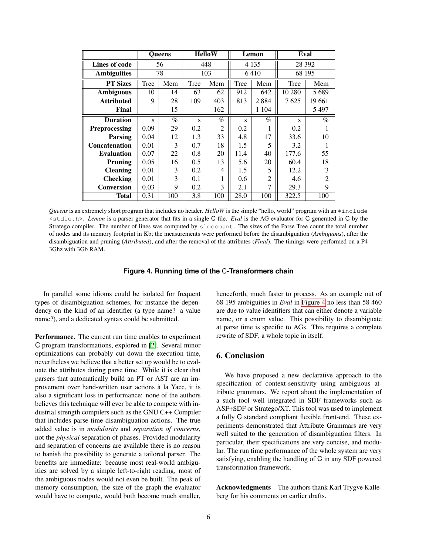|                      | <b>Oueens</b>           |      | <b>HelloW</b> |                | Lemon   |                | Eval     |                |
|----------------------|-------------------------|------|---------------|----------------|---------|----------------|----------|----------------|
| Lines of code        |                         | 56   | 448           |                | 4 1 3 5 |                | 28 3 9 2 |                |
| <b>Ambiguities</b>   | 78                      |      | 103           |                | 6410    |                | 68 195   |                |
| <b>PT Sizes</b>      | Tree                    | Mem  | Tree          | Mem            | Tree    | Mem            | Tree     | Mem            |
| <b>Ambiguous</b>     | 10                      | 14   | 63            | 62             | 912     | 642            | 10 280   | 5689           |
| <b>Attributed</b>    | 9                       | 28   | 109           | 403            | 813     | 2884           | 7625     | 19661          |
| Final                |                         | 15   |               | 162            |         | 1 1 0 4        |          | 5497           |
| <b>Duration</b>      | $\overline{\mathbf{S}}$ | $\%$ | S             | $\%$           | S       | $\%$           | S        | $\%$           |
| <b>Preprocessing</b> | 0.09                    | 29   | 0.2           | $\overline{2}$ | 0.2     | 1              | 0.2      | 1              |
| <b>Parsing</b>       | 0.04                    | 12   | 1.3           | 33             | 4.8     | 17             | 33.6     | 10             |
| <b>Concatenation</b> | 0.01                    | 3    | 0.7           | 18             | 1.5     | 5              | 3.2      | 1              |
| <b>Evaluation</b>    | 0.07                    | 22   | 0.8           | 20             | 11.4    | 40             | 177.6    | 55             |
| Pruning              | 0.05                    | 16   | 0.5           | 13             | 5.6     | 20             | 60.4     | 18             |
| <b>Cleaning</b>      | 0.01                    | 3    | 0.2           | 4              | 1.5     | 5              | 12.2     | 3              |
| <b>Checking</b>      | 0.01                    | 3    | 0.1           |                | 0.6     | $\overline{c}$ | 4.6      | $\overline{2}$ |
| <b>Conversion</b>    | 0.03                    | 9    | 0.2           | 3              | 2.1     | 7              | 29.3     | 9              |
| Total                | 0.31                    | 100  | 3.8           | 100            | 28.0    | 100            | 322.5    | 100            |

*Queens* is an extremely short program that includes no header. *HelloW* is the simple "hello, world" program with an #include <stdio.h>. *Lemon* is a parser generator that fits in a single C file. *Eval* is the AG evaluator for C generated in C by the Stratego compiler. The number of lines was computed by sloccount. The sizes of the Parse Tree count the total number of nodes and its memory footprint in Kb; the measurements were performed before the disambiguation (*Ambiguous*), after the disambiguation and pruning (*Attributed*), and after the removal of the attributes (*Final*). The timings were performed on a P4 3Ghz with 3Gb RAM.

#### <span id="page-5-1"></span>**Figure 4. Running time of the** C**-Transformers chain**

In parallel some idioms could be isolated for frequent types of disambiguation schemes, for instance the dependency on the kind of an identifier (a type name? a value name?), and a dedicated syntax could be submitted.

Performance. The current run time enables to experiment C program transformations, explored in [\[2\]](#page-6-20). Several minor optimizations can probably cut down the execution time, nevertheless we believe that a better set up would be to evaluate the attributes during parse time. While it is clear that parsers that automatically build an PT or AST are an improvement over hand-written user actions a la Yacc, it is ` also a significant loss in performance: none of the authors believes this technique will ever be able to compete with industrial strength compilers such as the GNU C++ Compiler that includes parse-time disambiguation actions. The true added value is in *modularity* and *separation of concerns*, not the *physical* separation of phases. Provided modularity and separation of concerns are available there is no reason to banish the possibility to generate a tailored parser. The benefits are immediate: because most real-world ambiguities are solved by a simple left-to-right reading, most of the ambiguous nodes would not even be built. The peak of memory consumption, the size of the graph the evaluator would have to compute, would both become much smaller,

henceforth, much faster to process. As an example out of 68 195 ambiguities in *Eval* in [Figure 4](#page-5-1) no less than 58 460 are due to value identifiers that can either denote a variable name, or a enum value. This possibility to disambiguate at parse time is specific to AGs. This requires a complete rewrite of SDF, a whole topic in itself.

### <span id="page-5-0"></span>6. Conclusion

We have proposed a new declarative approach to the specification of context-sensitivity using ambiguous attribute grammars. We report about the implementation of a such tool well integrated in SDF frameworks such as ASF+SDF or Stratego/XT. This tool was used to implement a fully C standard compliant flexible front-end. These experiments demonstrated that Attribute Grammars are very well suited to the generation of disambiguation filters. In particular, their specifications are very concise, and modular. The run time performance of the whole system are very satisfying, enabling the handling of C in any SDF powered transformation framework.

Acknowledgments The authors thank Karl Trygve Kalleberg for his comments on earlier drafts.